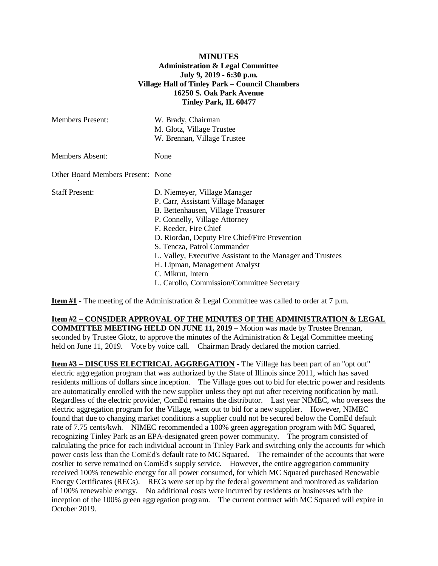## **MINUTES Administration & Legal Committee July 9, 2019 - 6:30 p.m. Village Hall of Tinley Park – Council Chambers 16250 S. Oak Park Avenue Tinley Park, IL 60477**

| <b>Members Present:</b>           | W. Brady, Chairman<br>M. Glotz, Village Trustee<br>W. Brennan, Village Trustee                                                                                                                                                                                                                                                                                                                                       |
|-----------------------------------|----------------------------------------------------------------------------------------------------------------------------------------------------------------------------------------------------------------------------------------------------------------------------------------------------------------------------------------------------------------------------------------------------------------------|
| <b>Members Absent:</b>            | None                                                                                                                                                                                                                                                                                                                                                                                                                 |
| Other Board Members Present: None |                                                                                                                                                                                                                                                                                                                                                                                                                      |
| <b>Staff Present:</b>             | D. Niemeyer, Village Manager<br>P. Carr, Assistant Village Manager<br>B. Bettenhausen, Village Treasurer<br>P. Connelly, Village Attorney<br>F. Reeder, Fire Chief<br>D. Riordan, Deputy Fire Chief/Fire Prevention<br>S. Tencza, Patrol Commander<br>L. Valley, Executive Assistant to the Manager and Trustees<br>H. Lipman, Management Analyst<br>C. Mikrut, Intern<br>L. Carollo, Commission/Committee Secretary |

**Item #1** - The meeting of the Administration & Legal Committee was called to order at 7 p.m.

**Item #2 – CONSIDER APPROVAL OF THE MINUTES OF THE ADMINISTRATION & LEGAL COMMITTEE MEETING HELD ON JUNE 11, 2019 –** Motion was made by Trustee Brennan, seconded by Trustee Glotz, to approve the minutes of the Administration & Legal Committee meeting held on June 11, 2019. Vote by voice call. Chairman Brady declared the motion carried.

**Item #3 – DISCUSS ELECTRICAL AGGREGATION -** The Village has been part of an "opt out" electric aggregation program that was authorized by the State of Illinois since 2011, which has saved residents millions of dollars since inception. The Village goes out to bid for electric power and residents are automatically enrolled with the new supplier unless they opt out after receiving notification by mail. Regardless of the electric provider, ComEd remains the distributor. Last year NIMEC, who oversees the electric aggregation program for the Village, went out to bid for a new supplier. However, NIMEC found that due to changing market conditions a supplier could not be secured below the ComEd default rate of 7.75 cents/kwh. NIMEC recommended a 100% green aggregation program with MC Squared, recognizing Tinley Park as an EPA-designated green power community. The program consisted of calculating the price for each individual account in Tinley Park and switching only the accounts for which power costs less than the ComEd's default rate to MC Squared. The remainder of the accounts that were costlier to serve remained on ComEd's supply service. However, the entire aggregation community received 100% renewable energy for all power consumed, for which MC Squared purchased Renewable Energy Certificates (RECs). RECs were set up by the federal government and monitored as validation of 100% renewable energy. No additional costs were incurred by residents or businesses with the inception of the 100% green aggregation program. The current contract with MC Squared will expire in October 2019.